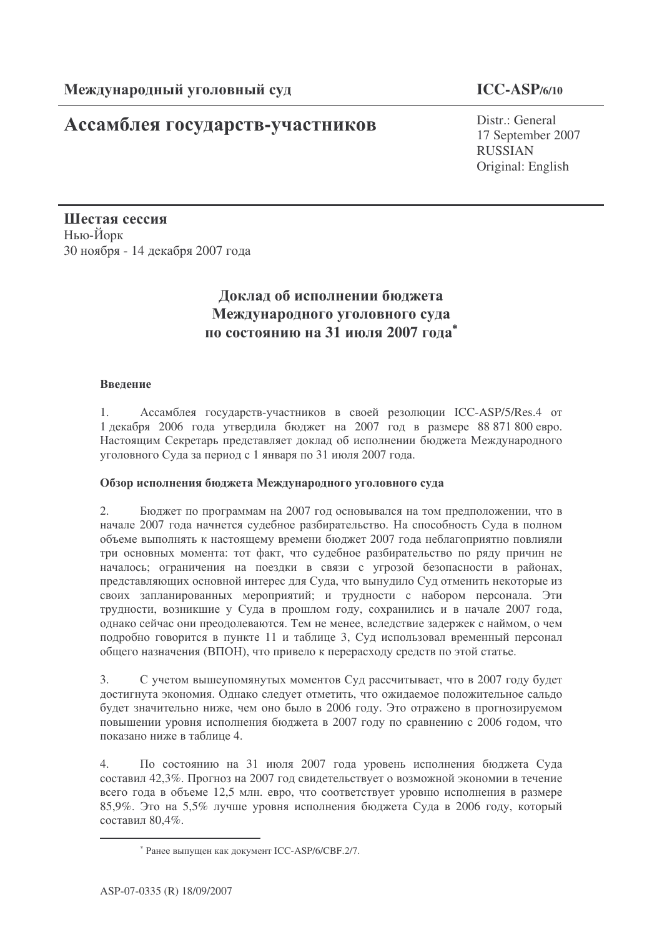## Ассамблея государств-участников

### **ICC-ASP/6/10**

Distr.: General 17 September 2007 RUSSIAN Original: English

Шестая сессия Нью-Йорк 30 ноября - 14 декабря 2007 года

## Доклад об исполнении бюджета Международного уголовного суда по состоянию на 31 июля 2007 года<sup>\*</sup>

#### Введение

1. Ассамблея государств-участников в своей резолюции ICC-ASP/5/Res.4 от 1 декабря 2006 года утвердила бюджет на 2007 год в размере 88 871 800 евро. Настоящим Секретарь представляет доклад об исполнении бюджета Международного уголовного Суда за период с 1 января по 31 июля 2007 года.

#### Обзор исполнения бюджета Международного уголовного суда

2. Бюджет по программам на 2007 год основывался на том предположении, что в начале 2007 года начнется судебное разбирательство. На способность Суда в полном объеме выполнять к настоящему времени бюджет 2007 года неблагоприятно повлияли три основных момента: тот факт, что судебное разбирательство по ряду причин не началось; ограничения на поездки в связи с угрозой безопасности в районах, представляющих основной интерес для Суда, что вынудило Суд отменить некоторые из своих запланированных мероприятий; и трудности с набором персонала. Эти трудности, возникшие у Суда в прошлом году, сохранились и в начале 2007 года, однако сейчас они преодолеваются. Тем не менее, вследствие задержек с наймом, о чем подробно говорится в пункте 11 и таблице 3, Суд использовал временный персонал общего назначения (ВПОН), что привело к перерасходу средств по этой статье.

3. С учетом вышеупомянутых моментов Суд рассчитывает, что в 2007 году будет достигнута экономия. Однако следует отметить, что ожидаемое положительное сальдо будет значительно ниже, чем оно было в 2006 году. Это отражено в прогнозируемом повышении уровня исполнения бюджета в 2007 году по сравнению с 2006 годом, что показано ниже в таблице 4.

4. По состоянию на 31 июля 2007 года уровень исполнения бюджета Суда составил 42,3%. Прогноз на 2007 год свидетельствует о возможной экономии в течение всего года в объеме 12,5 млн. евро, что соответствует уровню исполнения в размере 85,9%. Это на 5,5% лучше уровня исполнения бюджета Суда в 2006 году, который составил 80.4%.

<sup>\*</sup> Ранее выпущен как документ ICC-ASP/6/CBF.2/7.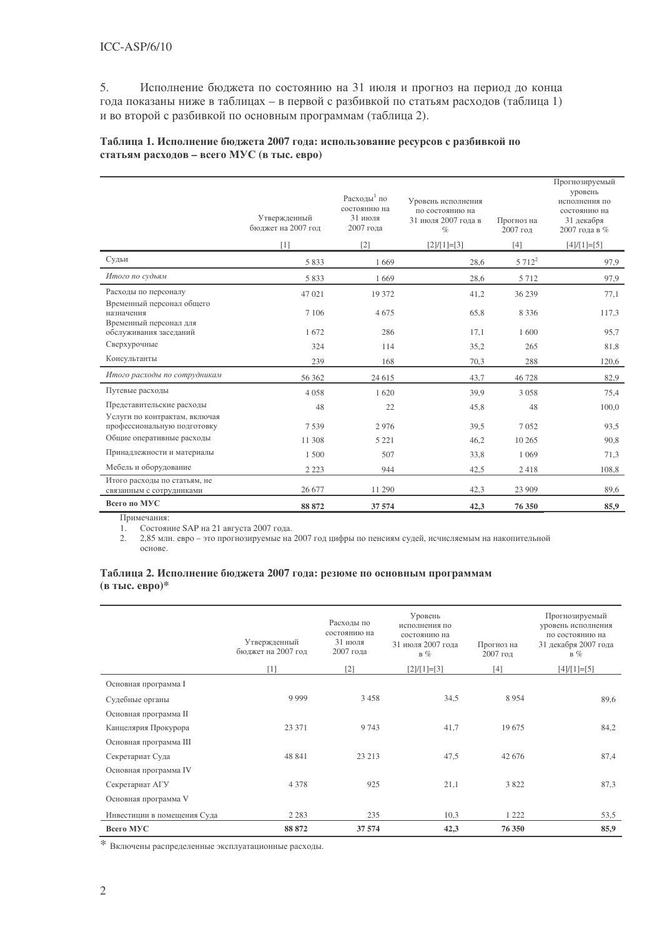5. Исполнение бюджета по состоянию на 31 июля и прогноз на период до конца года показаны ниже в таблицах - в первой с разбивкой по статьям расходов (таблица 1) и во второй с разбивкой по основным программам (таблица 2).

#### Таблица 1. Исполнение бюджета 2007 года: использование ресурсов с разбивкой по статьям расходов - всего МУС (в тыс. евро)

|                                                                   | Утвержденный<br>бюджет на 2007 год<br>[1] | Расходы <sup>1</sup> по<br>состоянию на<br>31 июля<br>2007 года<br>$[2]$ | Уровень исполнения<br>по состоянию на<br>31 июля 2007 года в<br>$\%$<br>$[2]/[1]=[3]$ | Прогноз на<br>2007 год<br>$[4]$ | Прогнозируемый<br>уровень<br>исполнения по<br>состоянию на<br>31 декабря<br>2007 года в %<br>$[4]/[1]=[5]$ |
|-------------------------------------------------------------------|-------------------------------------------|--------------------------------------------------------------------------|---------------------------------------------------------------------------------------|---------------------------------|------------------------------------------------------------------------------------------------------------|
| Судьи                                                             | 5833                                      | 1669                                                                     | 28,6                                                                                  | $5712^2$                        | 97,9                                                                                                       |
| Итого по судьям                                                   | 5833                                      | 1669                                                                     | 28,6                                                                                  | 5 7 1 2                         | 97,9                                                                                                       |
| Расходы по персоналу                                              | 47 021                                    | 19 372                                                                   | 41,2                                                                                  | 36 239                          | 77,1                                                                                                       |
| Временный персонал общего<br>назначения<br>Временный персонал для | 7 1 0 6                                   | 4675                                                                     | 65,8                                                                                  | 8 3 3 6                         | 117,3                                                                                                      |
| обслуживания заседаний                                            | 1672                                      | 286                                                                      | 17,1                                                                                  | 1 600                           | 95,7                                                                                                       |
| Сверхурочные                                                      | 324                                       | 114                                                                      | 35,2                                                                                  | 265                             | 81,8                                                                                                       |
| Консультанты                                                      | 239                                       | 168                                                                      | 70,3                                                                                  | 288                             | 120,6                                                                                                      |
| Итого расходы по сотрудникам                                      | 56 362                                    | 24 615                                                                   | 43,7                                                                                  | 46728                           | 82,9                                                                                                       |
| Путевые расходы                                                   | 4 0 5 8                                   | 1620                                                                     | 39.9                                                                                  | 3 0 5 8                         | 75,4                                                                                                       |
| Представительские расходы                                         | 48                                        | 22                                                                       | 45,8                                                                                  | 48                              | 100,0                                                                                                      |
| Услуги по контрактам, включая<br>профессиональную подготовку      | 7539                                      | 2976                                                                     | 39,5                                                                                  | 7052                            | 93,5                                                                                                       |
| Общие оперативные расходы                                         | 11 308                                    | 5 2 2 1                                                                  | 46,2                                                                                  | 10 265                          | 90,8                                                                                                       |
| Принадлежности и материалы                                        | 1 500                                     | 507                                                                      | 33,8                                                                                  | 1 0 6 9                         | 71,3                                                                                                       |
| Мебель и оборудование                                             | 2 2 2 3                                   | 944                                                                      | 42,5                                                                                  | 2418                            | 108,8                                                                                                      |
| Итого расходы по статьям, не<br>связанным с сотрудниками          | 26 677                                    | 11 290                                                                   | 42,3                                                                                  | 23 909                          | 89,6                                                                                                       |
| Всего по МУС                                                      | 88 872                                    | 37 574                                                                   | 42,3                                                                                  | 76 350                          | 85,9                                                                                                       |

Примечания:

1. Состояние SAP на 21 августа 2007 года.

2. 2,85 млн. евро - это прогнозируемые на 2007 год цифры по пенсиям судей, исчисляемым на накопительной

основе.

#### Таблица 2. Исполнение бюджета 2007 года: резюме по основным программам (в тыс. евро)\*

|                             | Утвержденный<br>бюджет на 2007 год | Расходы по<br>состоянию на<br>31 июля<br>2007 года | Уровень<br>исполнения по<br>состоянию на<br>31 июля 2007 года<br>$B\%$ | Прогноз на<br>2007 год | Прогнозируемый<br>уровень исполнения<br>по состоянию на<br>31 декабря 2007 года<br>$B\%$ |
|-----------------------------|------------------------------------|----------------------------------------------------|------------------------------------------------------------------------|------------------------|------------------------------------------------------------------------------------------|
|                             | [1]                                | $[2]$                                              | $[2]/[1]=[3]$                                                          | [4]                    | $[4]/[1]=[5]$                                                                            |
| Основная программа I        |                                    |                                                    |                                                                        |                        |                                                                                          |
| Судебные органы             | 9 9 9 9                            | 3458                                               | 34,5                                                                   | 8954                   | 89,6                                                                                     |
| Основная программа II       |                                    |                                                    |                                                                        |                        |                                                                                          |
| Канцелярия Прокурора        | 23 37 1                            | 9 7 4 3                                            | 41,7                                                                   | 19675                  | 84,2                                                                                     |
| Основная программа III      |                                    |                                                    |                                                                        |                        |                                                                                          |
| Секретариат Суда            | 48 841                             | 23 21 3                                            | 47,5                                                                   | 42 676                 | 87,4                                                                                     |
| Основная программа IV       |                                    |                                                    |                                                                        |                        |                                                                                          |
| Секретариат АГУ             | 4 3 7 8                            | 925                                                | 21,1                                                                   | 3822                   | 87,3                                                                                     |
| Основная программа V        |                                    |                                                    |                                                                        |                        |                                                                                          |
| Инвестиции в помещения Суда | 2 2 8 3                            | 235                                                | 10,3                                                                   | 1 2 2 2                | 53,5                                                                                     |
| Всего МУС                   | 88 872                             | 37 574                                             | 42,3                                                                   | 76 350                 | 85,9                                                                                     |

\* Включены распределенные эксплуатационные расходы.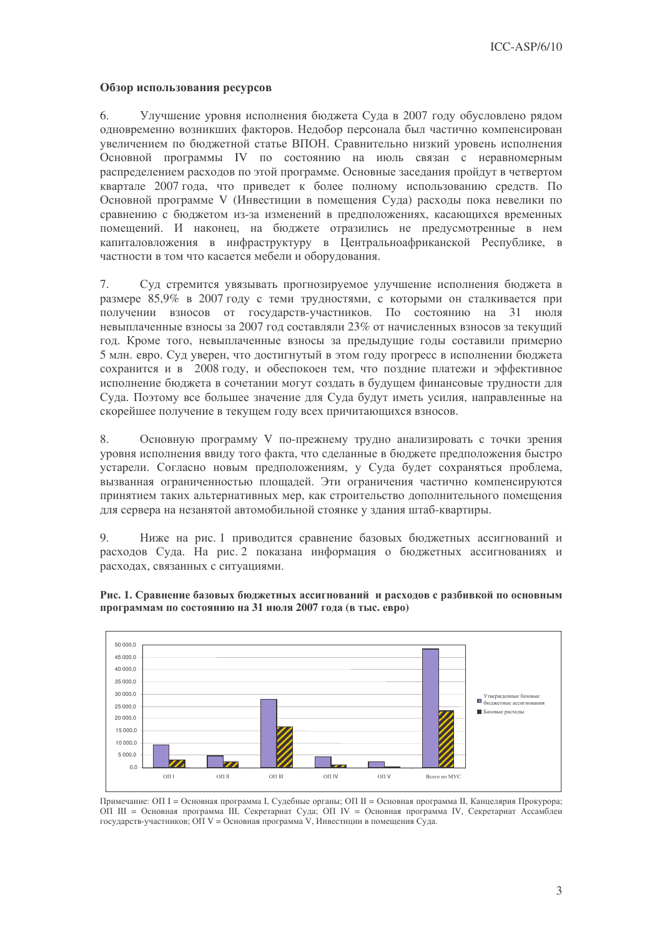#### Обзор использования ресурсов

Улучшение уровня исполнения бюджета Суда в 2007 году обусловлено рядом 6. одновременно возникших факторов. Недобор персонала был частично компенсирован увеличением по бюджетной статье ВПОН. Сравнительно низкий уровень исполнения Основной программы IV по состоянию на июль связан с неравномерным распределением расходов по этой программе. Основные заседания пройдут в четвертом квартале 2007 года, что приведет к более полному использованию средств. По Основной программе V (Инвестиции в помещения Суда) расходы пока невелики по сравнению с бюджетом из-за изменений в предположениях, касающихся временных помещений. И наконец, на бюджете отразились не предусмотренные в нем капиталовложения в инфраструктуру в Центральноафриканской Республике, в частности в том что касается мебели и оборудования.

7. Суд стремится увязывать прогнозируемое улучшение исполнения бюджета в размере 85,9% в 2007 году с теми трудностями, с которыми он сталкивается при получении взносов от государств-участников. По состоянию на 31 июля невыплаченные взносы за 2007 год составляли 23% от начисленных взносов за текущий год. Кроме того, невыплаченные взносы за предыдущие годы составили примерно 5 млн. евро. Суд уверен, что достигнутый в этом году прогресс в исполнении бюджета сохранится и в 2008 году, и обеспокоен тем, что поздние платежи и эффективное исполнение бюджета в сочетании могут создать в будущем финансовые трудности для Суда. Поэтому все большее значение для Суда будут иметь усилия, направленные на скорейшее получение в текущем году всех причитающихся взносов.

8. Основную программу V по-прежнему трудно анализировать с точки зрения уровня исполнения ввиду того факта, что сделанные в бюджете предположения быстро устарели. Согласно новым предположениям, у Суда будет сохраняться проблема, вызванная ограниченностью площадей. Эти ограничения частично компенсируются принятием таких альтернативных мер, как строительство дополнительного помещения для сервера на незанятой автомобильной стоянке у здания штаб-квартиры.

9. Ниже на рис. 1 приводится сравнение базовых бюджетных ассигнований и расходов Суда. На рис. 2 показана информация о бюджетных ассигнованиях и расходах, связанных с ситуациями.



Рис. 1. Сравнение базовых бюджетных ассигнований и расходов с разбивкой по основным программам по состоянию на 31 июля 2007 года (в тыс. евро)

Примечание: ОП I = Основная программа I, Судебные органы; ОП II = Основная программа II, Канцелярия Прокурора; ОП III = Основная программа III, Секретариат Суда; ОП IV = Основная программа IV, Секретариат Ассамблеи государств-участников; ОП V = Основная программа V, Инвестиции в помещения Суда.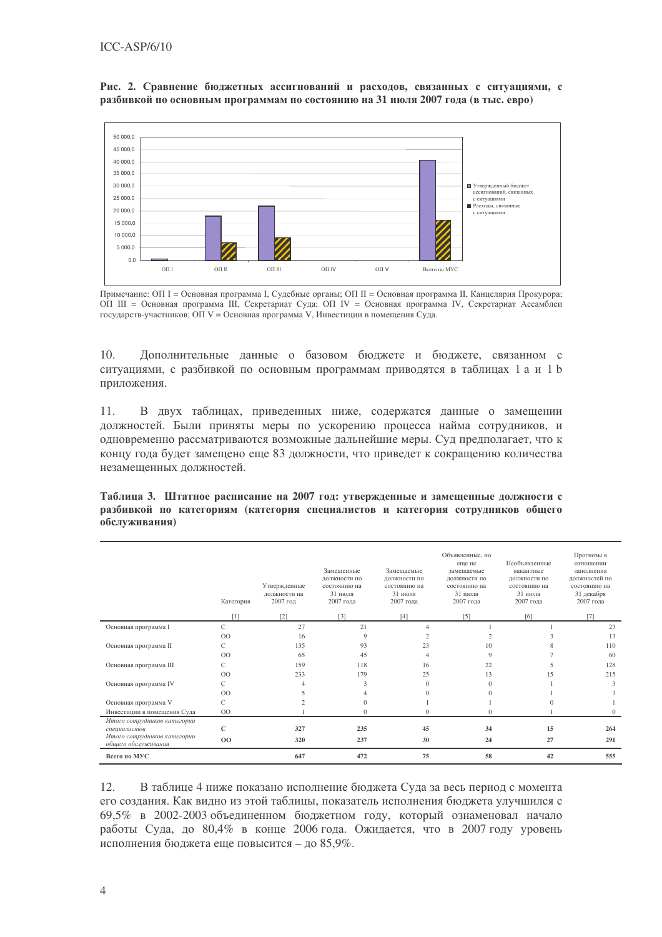Рис. 2. Сравнение бюджетных ассигнований и расходов, связанных с ситуациями, с разбивкой по основным программам по состоянию на 31 июля 2007 года (в тыс. евро)



Примечание: ОП I = Основная программа I, Судебные органы; ОП II = Основная программа II, Канцелярия Прокурора; ОП III = Основная программа III, Секретариат Суда; ОП IV = Основная программа IV, Секретариат Ассамблеи государств-участников; ОП V = Основная программа V, Инвестиции в помещения Суда.

 $10.$ Дополнительные данные о базовом бюджете и бюджете, связанном с ситуациями, с разбивкой по основным программам приводятся в таблицах 1 а и 1 b приложения.

В двух таблицах, приведенных ниже, содержатся данные о замещении 11. должностей. Были приняты меры по ускорению процесса найма сотрудников, и одновременно рассматриваются возможные дальнейшие меры. Суд предполагает, что к концу года будет замещено еще 83 должности, что приведет к сокращению количества незамещенных должностей.

Таблица 3. Штатное расписание на 2007 год: утвержденные и замешенные должности с разбивкой по категориям (категория специалистов и категория сотрудников общего обслуживания)

|                                                    | Категория      | Утвержденные<br>лолжности на<br>2007 год | Замещенные<br>должности по<br>состоянию на<br>31 июля<br>2007 года | Замещаемые<br>должности по<br>состоянию на<br>31 июля<br>2007 года | Объявленные, но<br>еше не<br>замешаемые<br>должности по<br>состоянию на<br>31 июля<br>2007 года | Необъявленные<br>вакантные<br>должности по<br>состоянию на<br>31 июля<br>2007 года | Прогнозы в<br>отношении<br>заполнения<br>лолжностей по<br>состоянию на<br>31 декабря<br>2007 года |
|----------------------------------------------------|----------------|------------------------------------------|--------------------------------------------------------------------|--------------------------------------------------------------------|-------------------------------------------------------------------------------------------------|------------------------------------------------------------------------------------|---------------------------------------------------------------------------------------------------|
|                                                    | [1]            | $[2]$                                    | [3]                                                                | $[4]$                                                              | [5]                                                                                             | [6]                                                                                | [7]                                                                                               |
| Основная программа I                               | C              | 27                                       | 21                                                                 |                                                                    |                                                                                                 |                                                                                    | 23                                                                                                |
|                                                    | $^{00}$        | 16                                       | 9                                                                  |                                                                    |                                                                                                 |                                                                                    | 13                                                                                                |
| Основная программа II                              | С              | 135                                      | 93                                                                 | 23                                                                 | 10                                                                                              | 8                                                                                  | 110                                                                                               |
|                                                    | O <sub>O</sub> | 65                                       | 45                                                                 |                                                                    | 9                                                                                               |                                                                                    | 60                                                                                                |
| Основная программа III                             | C              | 159                                      | 118                                                                | 16                                                                 | 22                                                                                              |                                                                                    | 128                                                                                               |
|                                                    | $^{00}$        | 233                                      | 179                                                                | 25                                                                 | 13                                                                                              | 15                                                                                 | 215                                                                                               |
| Основная программа IV                              | C              |                                          | 3                                                                  | $\Omega$                                                           | $\Omega$                                                                                        |                                                                                    | 3                                                                                                 |
|                                                    | $^{00}$        |                                          |                                                                    | 0                                                                  | $\Omega$                                                                                        |                                                                                    |                                                                                                   |
| Основная программа V                               | C              |                                          | 0                                                                  |                                                                    |                                                                                                 |                                                                                    |                                                                                                   |
| Инвестиции в помещения Суда                        | $_{\rm OO}$    |                                          | 0                                                                  | $\Omega$                                                           | $\mathbf{0}$                                                                                    |                                                                                    | $\theta$                                                                                          |
| Итого сотрудников категории<br>специалистов        | C              | 327                                      | 235                                                                | 45                                                                 | 34                                                                                              | 15                                                                                 | 264                                                                                               |
| Итого сотрудников категории<br>обшего обслуживания | 00             | 320                                      | 237                                                                | 30                                                                 | 24                                                                                              | 27                                                                                 | 291                                                                                               |
| Всего по МУС                                       |                | 647                                      | 472                                                                | 75                                                                 | 58                                                                                              | 42                                                                                 | 555                                                                                               |

 $12.$ В таблице 4 ниже показано исполнение бюджета Суда за весь период с момента его создания. Как видно из этой таблицы, показатель исполнения бюджета улучшился с 69.5% в 2002-2003 объединенном бюджетном году, который ознаменовал начало работы Суда, до 80,4% в конце 2006 года. Ожидается, что в 2007 году уровень исполнения бюджета еще повысится - до 85,9%.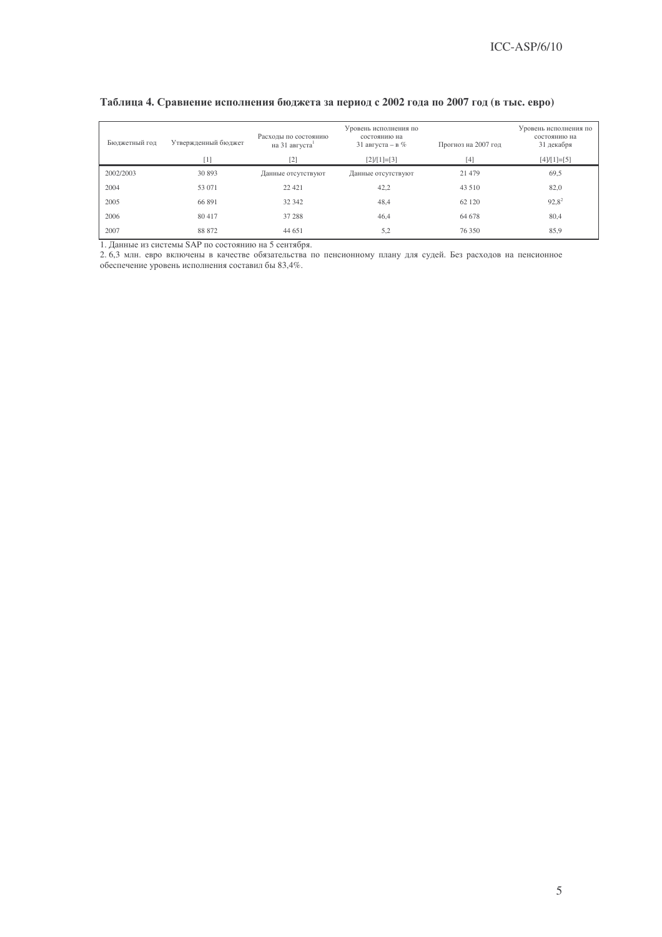| Бюджетный год | Утвержденный бюджет<br>[1] | Расходы по состоянию<br>на 31 августа | Уровень исполнения по<br>состоянию на<br>31 августа – в $%$<br>$[2]/[1]=[3]$ | Прогноз на 2007 год<br>[4] | Уровень исполнения по<br>состоянию на<br>31 декабря<br>$[4]/[1]=[5]$ |
|---------------|----------------------------|---------------------------------------|------------------------------------------------------------------------------|----------------------------|----------------------------------------------------------------------|
| 2002/2003     | 30 893                     | Данные отсутствуют                    | Данные отсутствуют                                                           | 21 479                     | 69,5                                                                 |
| 2004          | 53 071                     | 22 4 21                               | 42,2                                                                         | 43 510                     | 82,0                                                                 |
| 2005          | 66 891                     | 32 342                                | 48,4                                                                         | 62 120                     | $92.8^2$                                                             |
| 2006          | 80417                      | 37 288                                | 46,4                                                                         | 64 678                     | 80,4                                                                 |
| 2007          | 88 872                     | 44 651                                | 5,2                                                                          | 76 350                     | 85,9                                                                 |

#### Таблица 4. Сравнение исполнения бюджета за период с 2002 года по 2007 год (в тыс. евро)

1. Данные из системы SAP по состоянию на 5 сентября.

2. 6,3 млн. евро включены в качестве обязательства по пенсионному плану для судей. Без расходов на пенсионное обеспечение уровень исполнения составил бы 83,4%.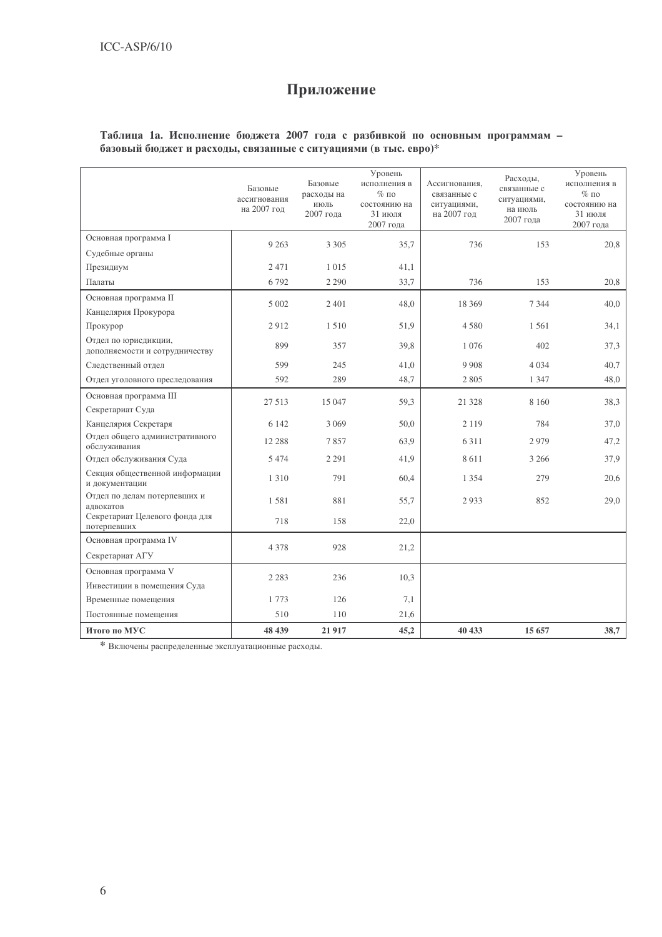## Приложение

# Таблица 1а. Исполнение бюджета 2007 года с разбивкой по основным программам – базовый бюджет и расходы, связанные с ситуациями (в тыс. евро)\*

|                                                        | Базовые<br>ассигнования<br>на 2007 год | Базовые<br>расходы на<br>июль<br>2007 года | Уровень<br>исполнения в<br>$%$ по<br>состоянию на<br>31 июля<br>2007 года | Ассигнования,<br>связанные с<br>ситуациями,<br>на 2007 год | Расхолы.<br>связанные с<br>ситуациями,<br>на июль<br>2007 года | Уровень<br>исполнения в<br>$%$ по<br>состоянию на<br>31 июля<br>2007 года |
|--------------------------------------------------------|----------------------------------------|--------------------------------------------|---------------------------------------------------------------------------|------------------------------------------------------------|----------------------------------------------------------------|---------------------------------------------------------------------------|
| Основная программа I                                   | 9 2 6 3                                | 3 3 0 5                                    | 35,7                                                                      | 736                                                        | 153                                                            | 20,8                                                                      |
| Судебные органы                                        |                                        |                                            |                                                                           |                                                            |                                                                |                                                                           |
| Президиум                                              | 2471                                   | 1 0 1 5                                    | 41,1                                                                      |                                                            |                                                                |                                                                           |
| Палаты                                                 | 6792                                   | 2 2 9 0                                    | 33,7                                                                      | 736                                                        | 153                                                            | 20.8                                                                      |
| Основная программа II                                  | 5 0 0 2                                | 2 4 0 1                                    | 48,0                                                                      | 18 3 6 9                                                   | 7 3 4 4                                                        | 40,0                                                                      |
| Канцелярия Прокурора                                   |                                        |                                            |                                                                           |                                                            |                                                                |                                                                           |
| Прокурор                                               | 2912                                   | 1510                                       | 51,9                                                                      | 4580                                                       | 1561                                                           | 34,1                                                                      |
| Отдел по юрисдикции,<br>дополняемости и сотрудничеству | 899                                    | 357                                        | 39,8                                                                      | 1 0 7 6                                                    | 402                                                            | 37,3                                                                      |
| Следственный отдел                                     | 599                                    | 245                                        | 41,0                                                                      | 9 9 0 8                                                    | 4 0 3 4                                                        | 40,7                                                                      |
| Отдел уголовного преследования                         | 592                                    | 289                                        | 48,7                                                                      | 2805                                                       | 1 3 4 7                                                        | 48,0                                                                      |
| Основная программа III                                 | 27 5 13                                | 15 047                                     | 59,3                                                                      | 21 3 28                                                    | 8 1 6 0                                                        | 38,3                                                                      |
| Секретариат Суда                                       |                                        |                                            |                                                                           |                                                            |                                                                |                                                                           |
| Канцелярия Секретаря                                   | 6 1 4 2                                | 3 0 6 9                                    | 50.0                                                                      | 2 1 1 9                                                    | 784                                                            | 37,0                                                                      |
| Отдел общего административного<br>обслуживания         | 12 288                                 | 7857                                       | 63,9                                                                      | 6 3 1 1                                                    | 2979                                                           | 47,2                                                                      |
| Отдел обслуживания Суда                                | 5474                                   | 2 2 9 1                                    | 41,9                                                                      | 8611                                                       | 3 2 6 6                                                        | 37,9                                                                      |
| Секция общественной информации<br>и документации       | 1 3 1 0                                | 791                                        | 60,4                                                                      | 1 3 5 4                                                    | 279                                                            | 20,6                                                                      |
| Отдел по делам потерпевших и<br>алвокатов              | 1581                                   | 881                                        | 55,7                                                                      | 2933                                                       | 852                                                            | 29,0                                                                      |
| Секретариат Целевого фонда для<br>потерпевших          | 718                                    | 158                                        | 22,0                                                                      |                                                            |                                                                |                                                                           |
| Основная программа IV                                  | 4 3 7 8                                | 928                                        | 21,2                                                                      |                                                            |                                                                |                                                                           |
| Секретариат АГУ                                        |                                        |                                            |                                                                           |                                                            |                                                                |                                                                           |
| Основная программа V                                   | 2 2 8 3                                | 236                                        | 10,3                                                                      |                                                            |                                                                |                                                                           |
| Инвестиции в помещения Суда                            |                                        |                                            |                                                                           |                                                            |                                                                |                                                                           |
| Временные помещения                                    | 1773                                   | 126                                        | 7,1                                                                       |                                                            |                                                                |                                                                           |
| Постоянные помешения                                   | 510                                    | 110                                        | 21,6                                                                      |                                                            |                                                                |                                                                           |
| Итого по МУС                                           | 48 439                                 | 21 9 17                                    | 45,2                                                                      | 40 433                                                     | 15 657                                                         | 38,7                                                                      |

\* Включены распределенные эксплуатационные расходы.